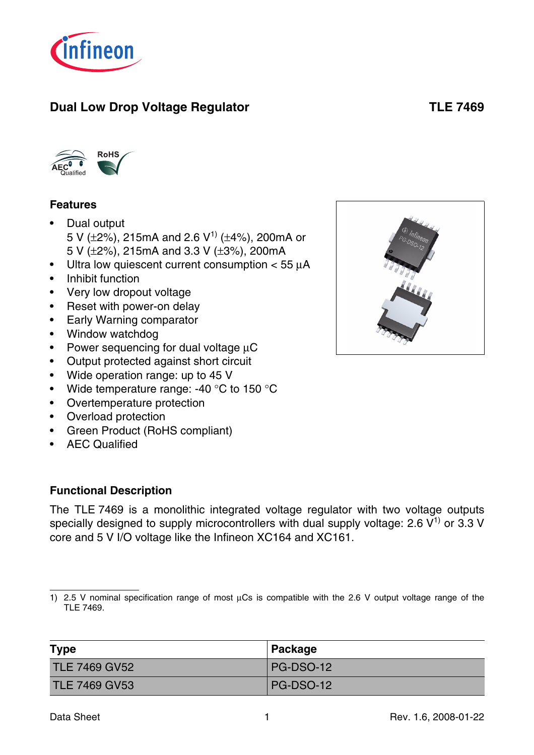

# **Dual Low Drop Voltage Regulator Contract Contract Contract Contract Contract Contract Contract Contract Contract Contract Contract Contract Contract Contract Contract Contract Contract Contract Contract Contract Contract**



#### **Features**

- Dual output 5 V ( $\pm$ 2%), 215mA and 2.6 V<sup>1)</sup> ( $\pm$ 4%), 200mA or 5 V (±2%), 215mA and 3.3 V (±3%), 200mA
- Ultra low quiescent current consumption  $<$  55  $\mu$ A
- Inhibit function
- Very low dropout voltage
- Reset with power-on delay
- Early Warning comparator
- Window watchdog
- Power sequencing for dual voltage  $\mu$ C
- Output protected against short circuit
- Wide operation range: up to 45 V
- Wide temperature range: -40 °C to 150 °C
- Overtemperature protection
- Overload protection
- Green Product (RoHS compliant)
- AEC Qualified

#### **Functional Description**

The TLE 7469 is a monolithic integrated voltage regulator with two voltage outputs specially designed to supply microcontrollers with dual supply voltage: 2.6  $V^{1}$  or 3.3 V core and 5 V I/O voltage like the Infineon XC164 and XC161.

<sup>1) 2.5</sup> V nominal specification range of most  $\mu$ Cs is compatible with the 2.6 V output voltage range of the TLE 7469.

| <b>Type</b>          | ∣ Package |
|----------------------|-----------|
| <b>TLE 7469 GV52</b> | PG-DSO-12 |
| <b>TLE 7469 GV53</b> | PG-DSO-12 |

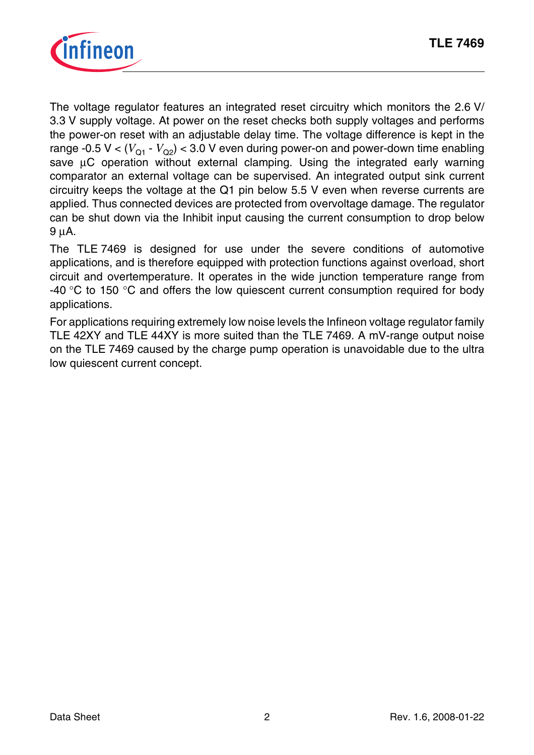

The voltage regulator features an integrated reset circuitry which monitors the 2.6 V/ 3.3 V supply voltage. At power on the reset checks both supply voltages and performs the power-on reset with an adjustable delay time. The voltage difference is kept in the range -0.5 V <  $(V_{01} - V_{02})$  < 3.0 V even during power-on and power-down time enabling save uC operation without external clamping. Using the integrated early warning comparator an external voltage can be supervised. An integrated output sink current circuitry keeps the voltage at the Q1 pin below 5.5 V even when reverse currents are applied. Thus connected devices are protected from overvoltage damage. The regulator can be shut down via the Inhibit input causing the current consumption to drop below 9 µA.

The TLE 7469 is designed for use under the severe conditions of automotive applications, and is therefore equipped with protection functions against overload, short circuit and overtemperature. It operates in the wide junction temperature range from -40  $\degree$ C to 150  $\degree$ C and offers the low quiescent current consumption required for body applications.

For applications requiring extremely low noise levels the Infineon voltage regulator family TLE 42XY and TLE 44XY is more suited than the TLE 7469. A mV-range output noise on the TLE 7469 caused by the charge pump operation is unavoidable due to the ultra low quiescent current concept.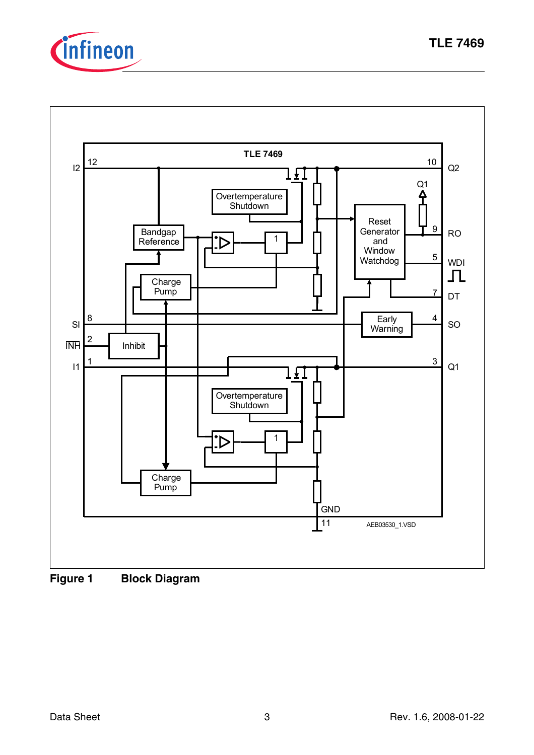



**Figure 1 Block Diagram**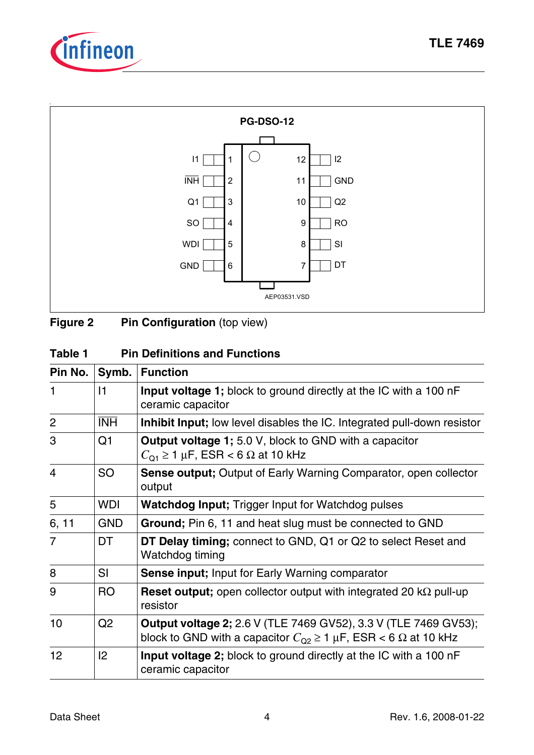



**Figure 2** Pin Configuration (top view)

| Table 1 | <b>Pin Definitions and Functions</b> |
|---------|--------------------------------------|
|---------|--------------------------------------|

| Pin No.        | Symb.          | <b>Function</b>                                                                                                                                           |
|----------------|----------------|-----------------------------------------------------------------------------------------------------------------------------------------------------------|
| 1              | 11             | <b>Input voltage 1;</b> block to ground directly at the IC with a 100 nF<br>ceramic capacitor                                                             |
| $\overline{2}$ | <b>INH</b>     | Inhibit Input; low level disables the IC. Integrated pull-down resistor                                                                                   |
| 3              | Q <sub>1</sub> | <b>Output voltage 1;</b> 5.0 V, block to GND with a capacitor<br>$C_{\Omega_1} \ge 1 \mu F$ , ESR < 6 $\Omega$ at 10 kHz                                  |
| $\overline{4}$ | <b>SO</b>      | <b>Sense output;</b> Output of Early Warning Comparator, open collector<br>output                                                                         |
| 5              | <b>WDI</b>     | <b>Watchdog Input</b> ; Trigger Input for Watchdog pulses                                                                                                 |
| 6, 11          | <b>GND</b>     | Ground; Pin 6, 11 and heat slug must be connected to GND                                                                                                  |
| 7              | <b>DT</b>      | DT Delay timing; connect to GND, Q1 or Q2 to select Reset and<br>Watchdog timing                                                                          |
| 8              | SI             | <b>Sense input; Input for Early Warning comparator</b>                                                                                                    |
| 9              | <b>RO</b>      | Reset output; open collector output with integrated 20 $k\Omega$ pull-up<br>resistor                                                                      |
| 10             | Q <sub>2</sub> | <b>Output voltage 2;</b> 2.6 V (TLE 7469 GV52), 3.3 V (TLE 7469 GV53);<br>block to GND with a capacitor $C_{Q2} \ge 1 \mu F$ , ESR < 6 $\Omega$ at 10 kHz |
| 12             | 2              | <b>Input voltage 2;</b> block to ground directly at the IC with a 100 nF<br>ceramic capacitor                                                             |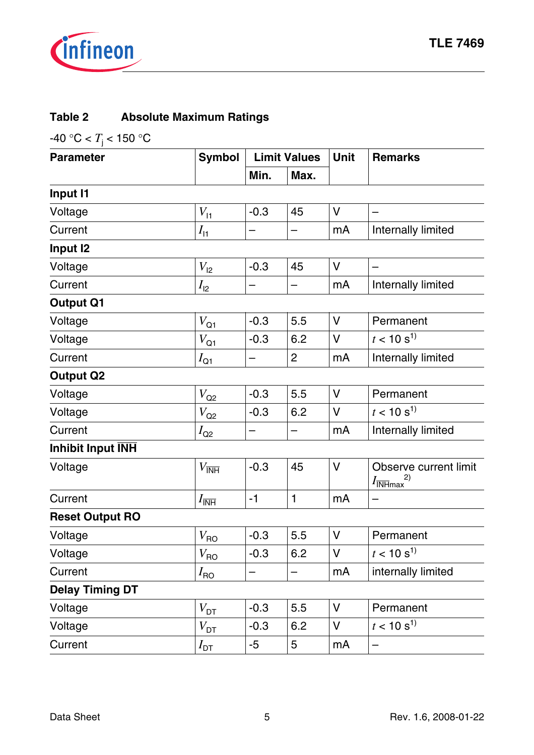

# **Table 2 Absolute Maximum Ratings**

-40 °C <  $T_{\rm j}$  < 150 °C

| <b>Parameter</b>       | <b>Symbol</b>                 |        | <b>Limit Values</b> |        | <b>Remarks</b>                                                       |
|------------------------|-------------------------------|--------|---------------------|--------|----------------------------------------------------------------------|
|                        |                               | Min.   | Max.                |        |                                                                      |
| <b>Input I1</b>        |                               |        |                     |        |                                                                      |
| Voltage                | $V_{11}$                      | $-0.3$ | 45                  | V      |                                                                      |
| Current                | $I_{\text{H}}$                |        | —                   | mA     | Internally limited                                                   |
| Input <sub>12</sub>    |                               |        |                     |        |                                                                      |
| Voltage                | $V_{12}$                      | $-0.3$ | 45                  | $\vee$ |                                                                      |
| Current                | $I_{12}$                      |        |                     | mA     | Internally limited                                                   |
| <b>Output Q1</b>       |                               |        |                     |        |                                                                      |
| Voltage                | $V_{\rm Q1}$                  | $-0.3$ | 5.5                 | $\vee$ | Permanent                                                            |
| Voltage                | $V_{\mathsf{Q1}}$             | $-0.3$ | 6.2                 | $\vee$ | $t < 10 s^{1}$                                                       |
| Current                | $I_{\text{Q1}}$               |        | $\overline{2}$      | mA     | Internally limited                                                   |
| <b>Output Q2</b>       |                               |        |                     |        |                                                                      |
| Voltage                | $V_{\rm Q2}$                  | $-0.3$ | 5.5                 | $\vee$ | Permanent                                                            |
| Voltage                | $V_{\rm Q2}$                  | $-0.3$ | 6.2                 | $\vee$ | $t < 10 s^{1}$                                                       |
| Current                | $I_{\rm Q2}$                  |        | —                   | mA     | Internally limited                                                   |
| Inhibit Input INH      |                               |        |                     |        |                                                                      |
| Voltage                | $V_{\overline{\mathsf{INH}}}$ | $-0.3$ | 45                  | $\vee$ | Observe current limit<br>2)<br>$I_{\overline{\text{INH}}\text{max}}$ |
| Current                | $I_{\overline{\mathsf{INH}}}$ | $-1$   | $\mathbf{1}$        | mA     |                                                                      |
| <b>Reset Output RO</b> |                               |        |                     |        |                                                                      |
| Voltage                | $V_{\sf{RO}}$                 | $-0.3$ | 5.5                 | V      | Permanent                                                            |
| Voltage                | $V_{\sf{RO}}$                 | $-0.3$ | 6.2                 | V      | $t < 10 s^{1}$                                                       |
| Current                | $I_{\text{RO}}$               |        |                     | mA     | internally limited                                                   |
| <b>Delay Timing DT</b> |                               |        |                     |        |                                                                      |
| Voltage                | $V_{\mathsf{DT}}$             | $-0.3$ | 5.5                 | V      | Permanent                                                            |
| Voltage                | $V_{\text{DT}}$               | $-0.3$ | 6.2                 | V      | $t<10~\rm s^{1)}$                                                    |
| Current                | $I_{\mathsf{DT}}$             | $-5$   | 5                   | mA     |                                                                      |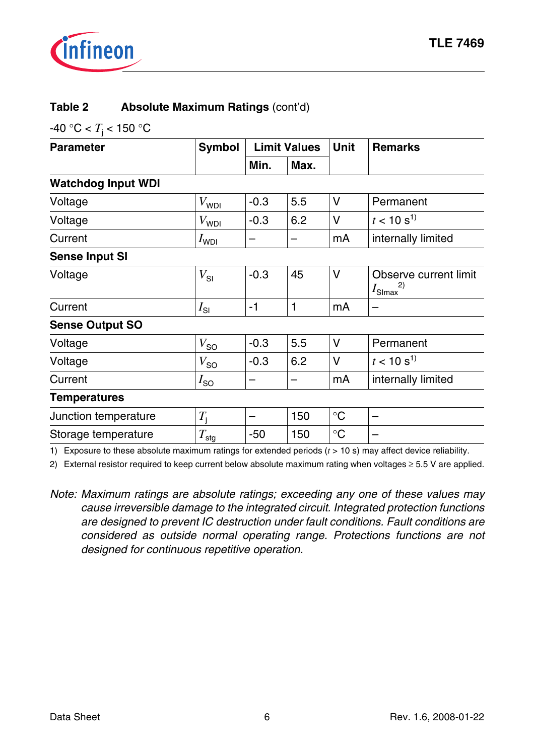

#### **Table 2 Absolute Maximum Ratings** (cont'd)

-40 °C <  $T_{\rm j}$  < 150 °C

| <b>Parameter</b>          | <b>Limit Values</b><br><b>Symbol</b> |        |      | <b>Unit</b>     | <b>Remarks</b>                                   |
|---------------------------|--------------------------------------|--------|------|-----------------|--------------------------------------------------|
|                           |                                      | Min.   | Max. |                 |                                                  |
| <b>Watchdog Input WDI</b> |                                      |        |      |                 |                                                  |
| Voltage                   | $V_{\mathsf{WDI}}$                   | $-0.3$ | 5.5  | V               | Permanent                                        |
| Voltage                   | $V_{\mathsf{WDI}}$                   | $-0.3$ | 6.2  | V               | $t < 10 s^{1}$                                   |
| Current                   | $I_{WDI}$                            | -      | —    | mA              | internally limited                               |
| <b>Sense Input SI</b>     |                                      |        |      |                 |                                                  |
| Voltage                   | $V_{SI}$                             | $-0.3$ | 45   | V               | Observe current limit<br>$I_{\text{Slmax}}^{2)}$ |
| Current                   | $I_{\text{SI}}$                      | $-1$   | 1    | mA              |                                                  |
| <b>Sense Output SO</b>    |                                      |        |      |                 |                                                  |
| Voltage                   | $V_{SO}$                             | $-0.3$ | 5.5  | V               | Permanent                                        |
| Voltage                   | $V_{SO}$                             | $-0.3$ | 6.2  | V               | $t < 10 s^{1}$                                   |
| Current                   | $I_{SO}$                             |        |      | mA              | internally limited                               |
| <b>Temperatures</b>       |                                      |        |      |                 |                                                  |
| Junction temperature      | $T_{\rm i}$                          |        | 150  | $\rm ^{\circ}C$ |                                                  |
| Storage temperature       | $T_{\text{stg}}$                     | $-50$  | 150  | $\rm ^{\circ}C$ |                                                  |

1) Exposure to these absolute maximum ratings for extended periods (*t* > 10 s) may affect device reliability.

2) External resistor required to keep current below absolute maximum rating when voltages ≥ 5.5 V are applied.

*Note: Maximum ratings are absolute ratings; exceeding any one of these values may cause irreversible damage to the integrated circuit. Integrated protection functions are designed to prevent IC destruction under fault conditions. Fault conditions are considered as outside normal operating range. Protections functions are not designed for continuous repetitive operation.*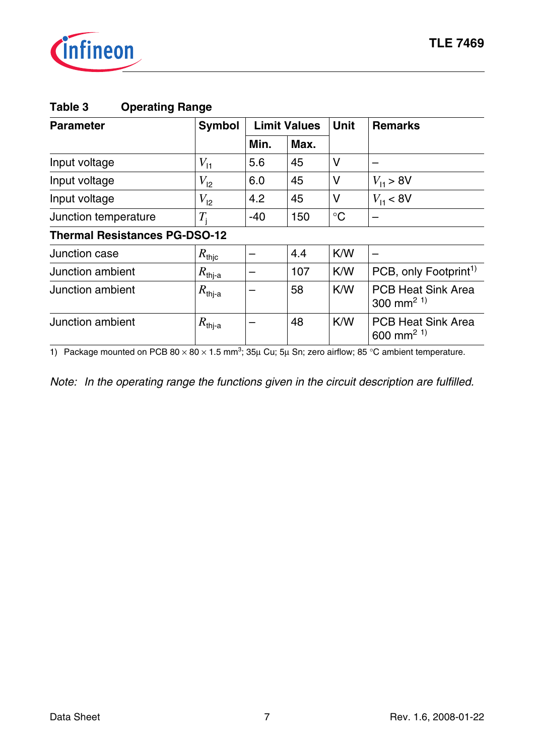

| Table 3 | <b>Operating Range</b> |
|---------|------------------------|
|---------|------------------------|

| <b>Symbol</b><br><b>Parameter</b>    |                      |       | <b>Limit Values</b> | <b>Unit</b>     | <b>Remarks</b>                                      |
|--------------------------------------|----------------------|-------|---------------------|-----------------|-----------------------------------------------------|
|                                      |                      | Min.  | Max.                |                 |                                                     |
| Input voltage                        | $V_{11}$             | 5.6   | 45                  | V               |                                                     |
| Input voltage                        | $V_{12}$             | 6.0   | 45                  | V               | $V_{11} > 8V$                                       |
| Input voltage                        | $V_{12}$             | 4.2   | 45                  | V               | $V_{11}$ < 8V                                       |
| Junction temperature                 | $T_{\rm i}$          | $-40$ | 150                 | $\rm ^{\circ}C$ |                                                     |
| <b>Thermal Resistances PG-DSO-12</b> |                      |       |                     |                 |                                                     |
| Junction case                        | $R_{\mathsf{thjc}}$  |       | 4.4                 | K/W             |                                                     |
| Junction ambient                     | $R_{\mathsf{thj-a}}$ |       | 107                 | K/W             | PCB, only Footprint <sup>1)</sup>                   |
| Junction ambient                     | $R_{\mathsf{thj-a}}$ |       | 58                  | K/W             | <b>PCB Heat Sink Area</b><br>300 mm <sup>2 1)</sup> |
| Junction ambient                     | $R_{\text{thj-a}}$   |       | 48                  | K/W             | <b>PCB Heat Sink Area</b><br>600 mm <sup>2 1)</sup> |

1) Package mounted on PCB 80  $\times$  80  $\times$  1.5 mm<sup>3</sup>; 35µ Cu; 5µ Sn; zero airflow; 85 °C ambient temperature.

*Note: In the operating range the functions given in the circuit description are fulfilled.*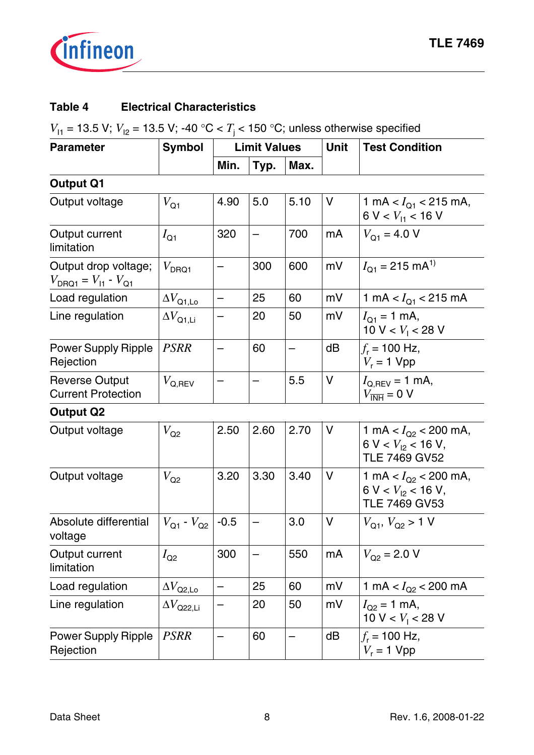

#### **Table 4 Electrical Characteristics**

*V*<sub>11</sub> = 13.5 V; *V*<sub>12</sub> = 13.5 V; -40 °C < *T*<sub>j</sub> < 150 °C; unless otherwise specified

| <b>Parameter</b>                                                   | <b>Symbol</b>                 | <b>Limit Values</b>      |      |      | <b>Unit</b> | <b>Test Condition</b>                                                        |
|--------------------------------------------------------------------|-------------------------------|--------------------------|------|------|-------------|------------------------------------------------------------------------------|
|                                                                    |                               | Min.                     | Typ. | Max. |             |                                                                              |
| <b>Output Q1</b>                                                   |                               |                          |      |      |             |                                                                              |
| Output voltage                                                     | $V_{\text{Q1}}$               | 4.90                     | 5.0  | 5.10 | V           | 1 mA < $I_{Q1}$ < 215 mA,<br>6 V < $V_{11}$ < 16 V                           |
| Output current<br>limitation                                       | $I_{\text{Q1}}$               | 320                      |      | 700  | mA          | $V_{\Omega_1}$ = 4.0 V                                                       |
| Output drop voltage;<br>$V_{\text{DRQ1}} = V_{11} - V_{\text{Q1}}$ | $V_{\text{DRQ1}}$             |                          | 300  | 600  | mV          | $I_{Q1} = 215$ mA <sup>1)</sup>                                              |
| Load regulation                                                    | $\Delta V_\mathrm{Q1,LO}$     | $\overline{\phantom{0}}$ | 25   | 60   | mV          | 1 mA < $I_{Q1}$ < 215 mA                                                     |
| Line regulation                                                    | $\Delta V_\mathsf{Q1,Li}$     |                          | 20   | 50   | mV          | $I_{Q1} = 1$ mA,<br>10 V < $V_1$ < 28 V                                      |
| <b>Power Supply Ripple</b><br>Rejection                            | <b>PSRR</b>                   |                          | 60   |      | dB          | $f_r$ = 100 Hz,<br>$V_r = 1$ Vpp                                             |
| <b>Reverse Output</b><br><b>Current Protection</b>                 | $V_{\mathsf{Q},\mathsf{REV}}$ |                          |      | 5.5  | V           | $I_{Q,REV}$ = 1 mA,<br>$V_{\overline{\text{INH}}} = 0 \text{ V}$             |
| <b>Output Q2</b>                                                   |                               |                          |      |      |             |                                                                              |
| Output voltage                                                     | $V_{\rm Q2}$                  | 2.50                     | 2.60 | 2.70 | V           | 1 mA < $I_{Q2}$ < 200 mA,<br>$6 V < V_{12} < 16 V$ ,<br><b>TLE 7469 GV52</b> |
| Output voltage                                                     | $V_{\rm Q2}$                  | 3.20                     | 3.30 | 3.40 | V           | 1 mA < $I_{Q2}$ < 200 mA,<br>$6 V < V_{12} < 16 V$ ,<br><b>TLE 7469 GV53</b> |
| Absolute differential<br>voltage                                   | $V_{Q1}$ - $V_{Q2}$           | $-0.5$                   |      | 3.0  | V           | $V_{Q1}$ , $V_{Q2}$ > 1 V                                                    |
| Output current<br>limitation                                       | $I_{\text{Q2}}$               | 300                      |      | 550  | mA          | $V_{Q2}$ = 2.0 V                                                             |
| Load regulation                                                    | $\Delta V_\mathrm{Q2,L0}$     |                          | 25   | 60   | mV          | 1 mA $< I_{Q2}$ < 200 mA                                                     |
| Line regulation                                                    | $\Delta V_\mathrm{Q22,Li}$    |                          | 20   | 50   | mV          | $I_{Q2} = 1$ mA,<br>10 V < $V_1$ < 28 V                                      |
| <b>Power Supply Ripple</b><br>Rejection                            | <b>PSRR</b>                   |                          | 60   |      | dB          | $f_r$ = 100 Hz,<br>$V_r = 1$ Vpp                                             |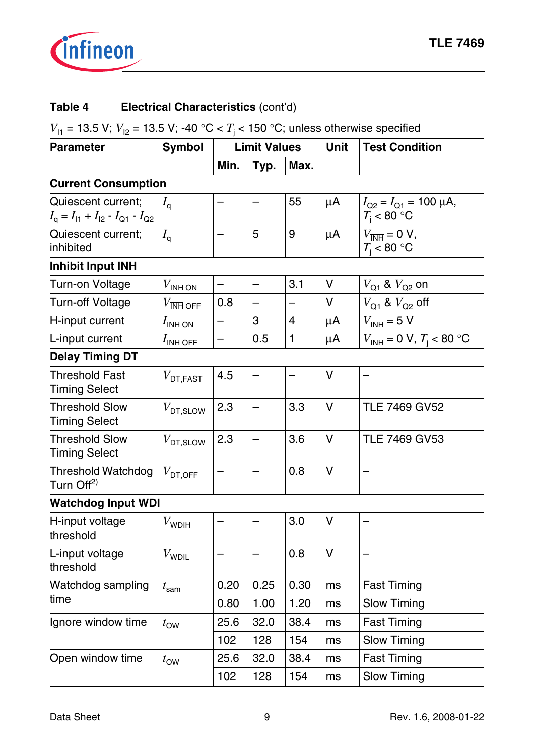

# **Table 4 Electrical Characteristics** (cont'd)

*V*<sub>11</sub> = 13.5 V; *V*<sub>12</sub> = 13.5 V; -40 °C < *T*<sub>j</sub> < 150 °C; unless otherwise specified

| <b>Parameter</b>                                                                             | <b>Symbol</b>                     | <b>Limit Values</b>      |      | <b>Unit</b>    | <b>Test Condition</b> |                                                                                |  |  |
|----------------------------------------------------------------------------------------------|-----------------------------------|--------------------------|------|----------------|-----------------------|--------------------------------------------------------------------------------|--|--|
|                                                                                              |                                   | Min.                     | Typ. | Max.           |                       |                                                                                |  |  |
| <b>Current Consumption</b>                                                                   |                                   |                          |      |                |                       |                                                                                |  |  |
| Quiescent current;<br>$I_{\mathsf{q}} = I_{11} + I_{12} - I_{\mathsf{Q}1} - I_{\mathsf{Q}2}$ | $I_{\mathsf{q}}$                  |                          |      | 55             | $\mu$ A               | $I_{Q2} = I_{Q1} = 100 \mu A$ ,<br>$T_{\rm i}$ < 80 °C                         |  |  |
| Quiescent current;<br>inhibited                                                              | $I_{\mathsf{q}}$                  |                          | 5    | 9              | $\mu$ A               | $V_{\overline{\text{INH}}} = 0 \text{ V},$<br>$T_{\rm i}$ < 80 °C              |  |  |
| <b>Inhibit Input INH</b>                                                                     |                                   |                          |      |                |                       |                                                                                |  |  |
| Turn-on Voltage                                                                              | $V_{\overline{\mathsf{INH}}}$ ON  | $\overline{\phantom{0}}$ | —    | 3.1            | V                     | $V_{Q1}$ & $V_{Q2}$ on                                                         |  |  |
| Turn-off Voltage                                                                             | $V_{\overline{\mathsf{INH}}}$ off | 0.8                      |      |                | V                     | $V_{Q1}$ & $V_{Q2}$ off                                                        |  |  |
| H-input current                                                                              | $I_{\overline{\mathsf{INH}}}$ ON  |                          | 3    | $\overline{4}$ | $\mu$ A               | $V_{\overline{\text{INH}}}$ = 5 V                                              |  |  |
| L-input current                                                                              | $I_{\overline{\mathsf{INH}}}$ OFF |                          | 0.5  | $\mathbf{1}$   | μA                    | $V_{\overline{INH}} = 0 \text{ V}, T_{\text{i}} < 80 \text{ }^{\circ}\text{C}$ |  |  |
| <b>Delay Timing DT</b>                                                                       |                                   |                          |      |                |                       |                                                                                |  |  |
| <b>Threshold Fast</b><br><b>Timing Select</b>                                                | $V_{\text{DT,FAST}}$              | 4.5                      |      |                | V                     |                                                                                |  |  |
| <b>Threshold Slow</b><br><b>Timing Select</b>                                                | $V_{\text{DT,SLOW}}$              | 2.3                      |      | 3.3            | V                     | <b>TLE 7469 GV52</b>                                                           |  |  |
| <b>Threshold Slow</b><br><b>Timing Select</b>                                                | $V_{\text{DT,SLOW}}$              | 2.3                      |      | 3.6            | $\vee$                | <b>TLE 7469 GV53</b>                                                           |  |  |
| <b>Threshold Watchdog</b><br>Turn Off <sup>2)</sup>                                          | $V_{\text{\scriptsize DT,OFF}}$   |                          |      | 0.8            | V                     |                                                                                |  |  |
| <b>Watchdog Input WDI</b>                                                                    |                                   |                          |      |                |                       |                                                                                |  |  |
| H-input voltage<br>threshold                                                                 | $V_{\text{WDIH}}$                 |                          |      | 3.0            | V                     |                                                                                |  |  |
| L-input voltage<br>threshold                                                                 | $V_{\text{WDIL}}$                 |                          |      | 0.8            | V                     |                                                                                |  |  |
| Watchdog sampling                                                                            | $t_{\text{sam}}$                  | 0.20                     | 0.25 | 0.30           | ms                    | <b>Fast Timing</b>                                                             |  |  |
| time                                                                                         |                                   | 0.80                     | 1.00 | 1.20           | ms                    | <b>Slow Timing</b>                                                             |  |  |
| Ignore window time                                                                           | $t_{\rm OW}$                      | 25.6                     | 32.0 | 38.4           | ms                    | <b>Fast Timing</b>                                                             |  |  |
|                                                                                              |                                   | 102                      | 128  | 154            | ms                    | <b>Slow Timing</b>                                                             |  |  |
| Open window time                                                                             | $t_{\text{OW}}$                   | 25.6                     | 32.0 | 38.4           | ms                    | <b>Fast Timing</b>                                                             |  |  |
|                                                                                              |                                   | 102                      | 128  | 154            | ms                    | <b>Slow Timing</b>                                                             |  |  |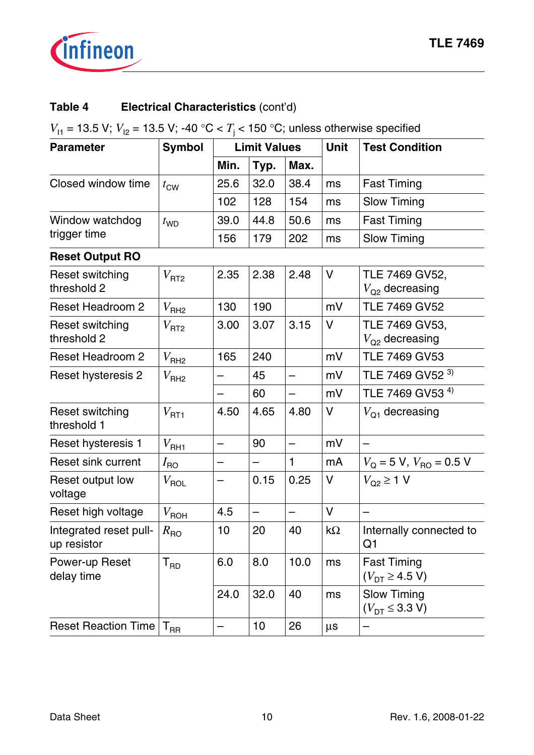

# **Table 4 Electrical Characteristics** (cont'd)

*V*<sub>11</sub> = 13.5 V; *V*<sub>12</sub> = 13.5 V; -40 °C < *T*<sub>j</sub> < 150 °C; unless otherwise specified

| <b>Parameter</b>                      | <b>Symbol</b>      | <b>Limit Values</b>      |      |                          | Unit      | <b>Test Condition</b>                        |
|---------------------------------------|--------------------|--------------------------|------|--------------------------|-----------|----------------------------------------------|
|                                       |                    | Min.                     | Typ. | Max.                     |           |                                              |
| Closed window time                    | $t_{\text{CW}}$    | 25.6                     | 32.0 | 38.4                     | ms        | <b>Fast Timing</b>                           |
|                                       |                    | 102                      | 128  | 154                      | ms        | <b>Slow Timing</b>                           |
| Window watchdog                       | $t_{WD}$           | 39.0                     | 44.8 | 50.6                     | ms        | <b>Fast Timing</b>                           |
| trigger time                          |                    | 156                      | 179  | 202                      | ms        | Slow Timing                                  |
| <b>Reset Output RO</b>                |                    |                          |      |                          |           |                                              |
| Reset switching<br>threshold 2        | V <sub>RT2</sub>   | 2.35                     | 2.38 | 2.48                     | V         | TLE 7469 GV52,<br>$V_{\text{Q2}}$ decreasing |
| <b>Reset Headroom 2</b>               | V <sub>RH2</sub>   | 130                      | 190  |                          | mV        | <b>TLE 7469 GV52</b>                         |
| <b>Reset switching</b><br>threshold 2 | V <sub>RT2</sub>   | 3.00                     | 3.07 | 3.15                     | V         | TLE 7469 GV53,<br>$V_{\Omega}$ decreasing    |
| <b>Reset Headroom 2</b>               | $V_{\mathsf{RH}2}$ | 165                      | 240  |                          | mV        | <b>TLE 7469 GV53</b>                         |
| Reset hysteresis 2                    | V <sub>RH2</sub>   | —                        | 45   | $\overline{\phantom{0}}$ | mV        | TLE 7469 GV52 3)                             |
|                                       |                    | $\overline{\phantom{0}}$ | 60   |                          | mV        | TLE 7469 GV53 <sup>4)</sup>                  |
| Reset switching<br>threshold 1        | V <sub>RT1</sub>   | 4.50                     | 4.65 | 4.80                     | V         | $V_{\Omega_1}$ decreasing                    |
| Reset hysteresis 1                    | V <sub>RH1</sub>   | $\overline{\phantom{0}}$ | 90   |                          | mV        |                                              |
| <b>Reset sink current</b>             | $I_{\mathsf{RO}}$  | —                        | —    | $\mathbf{1}$             | mA        | $V_{\rm O}$ = 5 V, $V_{\rm BO}$ = 0.5 V      |
| Reset output low<br>voltage           | $V_{\sf ROL}$      |                          | 0.15 | 0.25                     | V         | $V_{\text{Q2}} \geq 1$ V                     |
| Reset high voltage                    | $V_{\sf ROH}$      | 4.5                      |      |                          | $\vee$    |                                              |
| Integrated reset pull-<br>up resistor | $R_{\rm{RO}}$      | 10                       | 20   | 40                       | $k\Omega$ | Internally connected to<br>Q <sub>1</sub>    |
| Power-up Reset<br>delay time          | $T_{RD}$           | 6.0                      | 8.0  | 10.0                     | ms        | <b>Fast Timing</b><br>$(V_{DT} \ge 4.5 V)$   |
|                                       |                    | 24.0                     | 32.0 | 40                       | ms        | <b>Slow Timing</b><br>$(V_{DT} \leq 3.3 V)$  |
| <b>Reset Reaction Time</b>            | $T_{\sf RR}$       | —                        | $10$ | 26                       | μs        |                                              |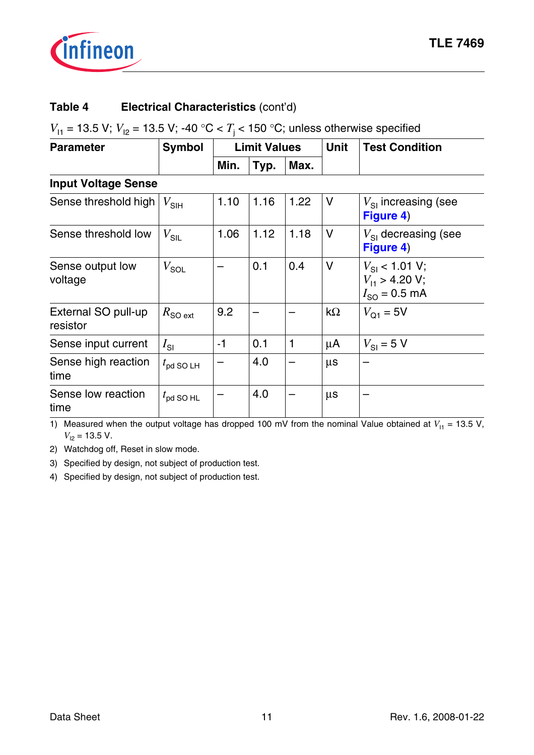

## **Table 4 Electrical Characteristics** (cont'd)

*V*<sub>11</sub> = 13.5 V; *V*<sub>12</sub> = 13.5 V; -40 °C < *T*<sub>j</sub> < 150 °C; unless otherwise specified

| <b>Parameter</b>                | <b>Limit Values</b><br><b>Symbol</b> |      |      |      | <b>Unit</b> | <b>Test Condition</b>                                             |
|---------------------------------|--------------------------------------|------|------|------|-------------|-------------------------------------------------------------------|
|                                 |                                      | Min. | Typ. | Max. |             |                                                                   |
| <b>Input Voltage Sense</b>      |                                      |      |      |      |             |                                                                   |
| Sense threshold high            | $V_{\text{SIH}}$                     | 1.10 | 1.16 | 1.22 | V           | $V_{\rm SI}$ increasing (see<br>Figure 4)                         |
| Sense threshold low             | $V_{\sf SIL}$                        | 1.06 | 1.12 | 1.18 | $\vee$      | $V_{\rm SI}$ decreasing (see<br>Figure 4)                         |
| Sense output low<br>voltage     | $V_{\text{SOL}}$                     |      | 0.1  | 0.4  | $\vee$      | $V_{\rm SI}$ < 1.01 V;<br>$V_{11}$ > 4.20 V;<br>$I_{SO} = 0.5$ mA |
| External SO pull-up<br>resistor | $R_{\text{SO ext}}$                  | 9.2  |      |      | $k\Omega$   | $V_{Q1} = 5V$                                                     |
| Sense input current             | $I_{\rm SI}$                         | $-1$ | 0.1  | 1    | μA          | $V_{\rm SI}$ = 5 V                                                |
| Sense high reaction<br>time     | $t_{\rm pd}$ SO LH                   |      | 4.0  |      | $\mu s$     |                                                                   |
| Sense low reaction<br>time      | $t_{\rm pd}$ SO HL                   |      | 4.0  |      | $\mu s$     |                                                                   |

1) Measured when the output voltage has dropped 100 mV from the nominal Value obtained at  $V_{11} = 13.5 V$ ,  $V_{12}$  = 13.5 V.

2) Watchdog off, Reset in slow mode.

3) Specified by design, not subject of production test.

4) Specified by design, not subject of production test.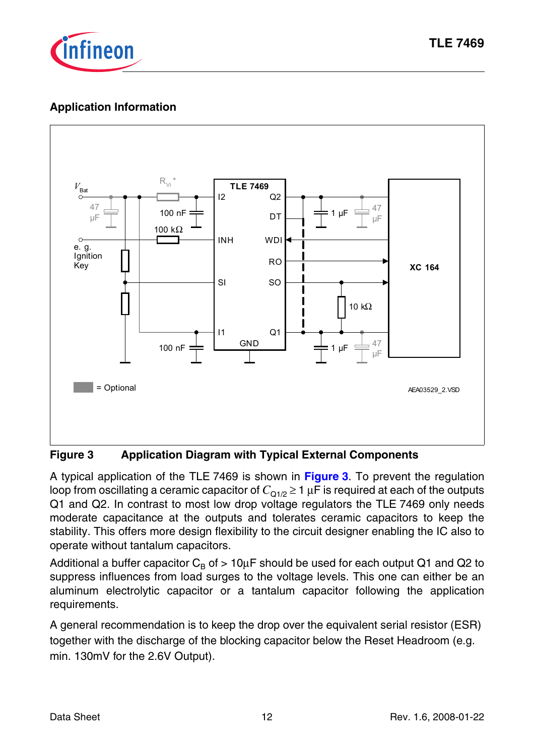

# **Application Information**



#### **Figure 3 Application Diagram with Typical External Components**

A typical application of the TLE 7469 is shown in **Figure 3**. To prevent the regulation loop from oscillating a ceramic capacitor of  $C_{Q1/2} \geq 1 \mu F$  is required at each of the outputs Q1 and Q2. In contrast to most low drop voltage regulators the TLE 7469 only needs moderate capacitance at the outputs and tolerates ceramic capacitors to keep the stability. This offers more design flexibility to the circuit designer enabling the IC also to operate without tantalum capacitors.

Additional a buffer capacitor  $C_B$  of  $> 10\mu$ F should be used for each output Q1 and Q2 to suppress influences from load surges to the voltage levels. This one can either be an aluminum electrolytic capacitor or a tantalum capacitor following the application requirements.

A general recommendation is to keep the drop over the equivalent serial resistor (ESR) together with the discharge of the blocking capacitor below the Reset Headroom (e.g. min. 130mV for the 2.6V Output).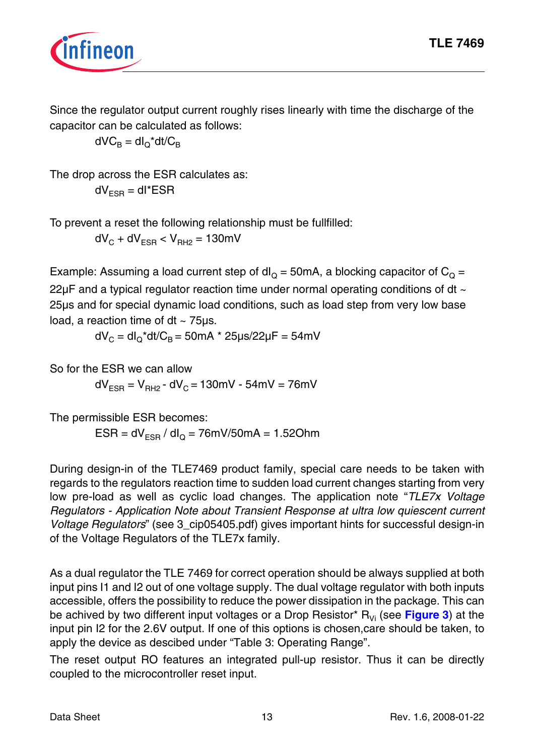

Since the regulator output current roughly rises linearly with time the discharge of the capacitor can be calculated as follows:

 $dVC_B = dl_O^*dt/C_B$ 

The drop across the ESR calculates as:  $dV_{FSB} = dl^*ESR$ 

To prevent a reset the following relationship must be fullfilled:

 $dV_C + dV_{FSB} < V_{BH2} = 130$  mV

Example: Assuming a load current step of  $dl<sub>O</sub> = 50mA$ , a blocking capacitor of  $C<sub>O</sub> =$ 22µF and a typical regulator reaction time under normal operating conditions of dt ~ 25µs and for special dynamic load conditions, such as load step from very low base load, a reaction time of  $dt \sim 75$ us.

 $dV_c = dl_c^*dt/C_B = 50mA^* 25 \mu s/22 \mu F = 54mV$ 

So for the ESR we can allow  $dV_{FSB} = V_{BH2} - dV_{C} = 130$  mV - 54 mV = 76 mV

The permissible ESR becomes:  $ESR = dV<sub>FSR</sub> / dl<sub>O</sub> = 76mV/50mA = 1.52Ohm$ 

During design-in of the TLE7469 product family, special care needs to be taken with regards to the regulators reaction time to sudden load current changes starting from very low pre-load as well as cyclic load changes. The application note "*TLE7x Voltage Regulators - Application Note about Transient Response at ultra low quiescent current Voltage Regulators*" (see 3 cip05405.pdf) gives important hints for successful design-in of the Voltage Regulators of the TLE7x family.

As a dual regulator the TLE 7469 for correct operation should be always supplied at both input pins I1 and I2 out of one voltage supply. The dual voltage regulator with both inputs accessible, offers the possibility to reduce the power dissipation in the package. This can be achived by two different input voltages or a Drop Resistor<sup>\*</sup>  $R_{Vi}$  (see **Figure 3**) at the input pin I2 for the 2.6V output. If one of this options is chosen,care should be taken, to apply the device as descibed under "Table 3: Operating Range".

The reset output RO features an integrated pull-up resistor. Thus it can be directly coupled to the microcontroller reset input.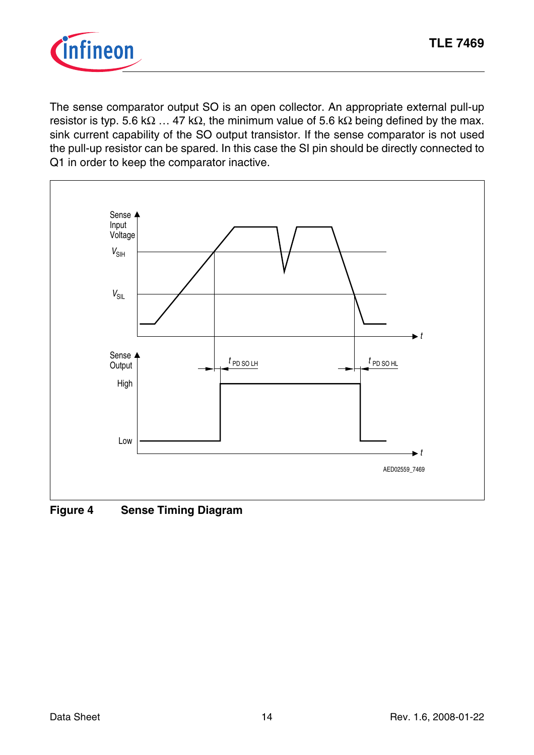

The sense comparator output SO is an open collector. An appropriate external pull-up resistor is typ. 5.6 k $\Omega$  ... 47 k $\Omega$ , the minimum value of 5.6 k $\Omega$  being defined by the max. sink current capability of the SO output transistor. If the sense comparator is not used the pull-up resistor can be spared. In this case the SI pin should be directly connected to Q1 in order to keep the comparator inactive.



**Figure 4 Sense Timing Diagram**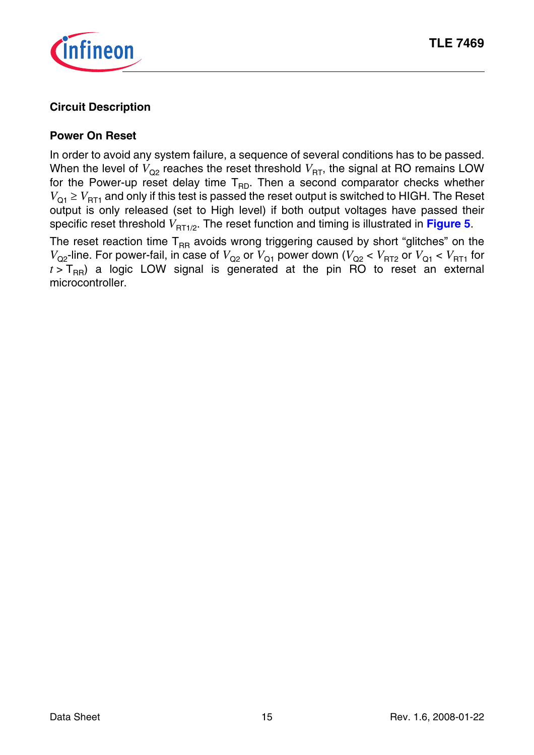

### **Circuit Description**

#### **Power On Reset**

In order to avoid any system failure, a sequence of several conditions has to be passed. When the level of  $V_{\Omega^2}$  reaches the reset threshold  $V_{\text{RT}}$ , the signal at RO remains LOW for the Power-up reset delay time  $T_{RD}$ . Then a second comparator checks whether  $V_{\text{O1}} \geq V_{\text{RT1}}$  and only if this test is passed the reset output is switched to HIGH. The Reset output is only released (set to High level) if both output voltages have passed their specific reset threshold  $V_{\text{RT1}/2}$ . The reset function and timing is illustrated in **Figure 5**.

The reset reaction time  $T_{RR}$  avoids wrong triggering caused by short "glitches" on the  $V_{\text{Q2}}$ -line. For power-fail, in case of  $V_{\text{Q2}}$  or  $V_{\text{Q1}}$  power down ( $V_{\text{Q2}} < V_{\text{RT2}}$  or  $V_{\text{Q1}} < V_{\text{RT1}}$  for  $t > T_{\text{BR}}$ ) a logic LOW signal is generated at the pin RO to reset an external microcontroller.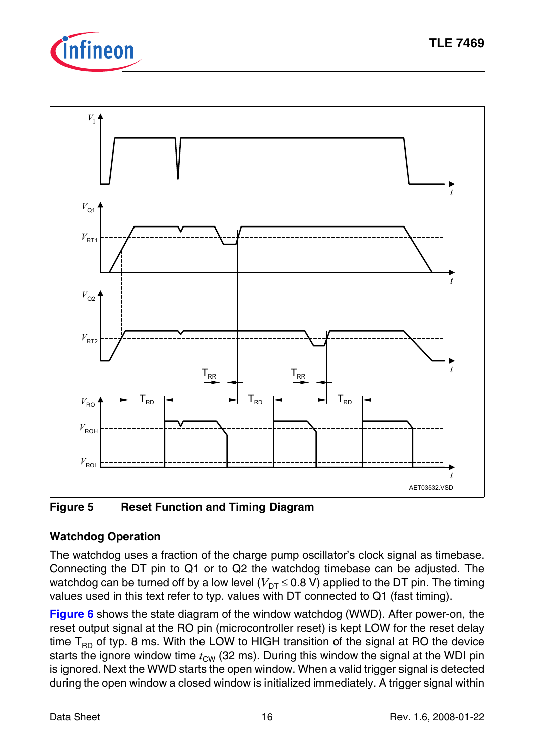



**Figure 5 Reset Function and Timing Diagram**

# **Watchdog Operation**

The watchdog uses a fraction of the charge pump oscillator's clock signal as timebase. Connecting the DT pin to Q1 or to Q2 the watchdog timebase can be adjusted. The watchdog can be turned off by a low level ( $V_{DT} \le 0.8$  V) applied to the DT pin. The timing values used in this text refer to typ. values with DT connected to Q1 (fast timing).

**Figure 6** shows the state diagram of the window watchdog (WWD). After power-on, the reset output signal at the RO pin (microcontroller reset) is kept LOW for the reset delay time  $T_{BD}$  of typ. 8 ms. With the LOW to HIGH transition of the signal at RO the device starts the ignore window time  $t_{\text{CW}}$  (32 ms). During this window the signal at the WDI pin is ignored. Next the WWD starts the open window. When a valid trigger signal is detected during the open window a closed window is initialized immediately. A trigger signal within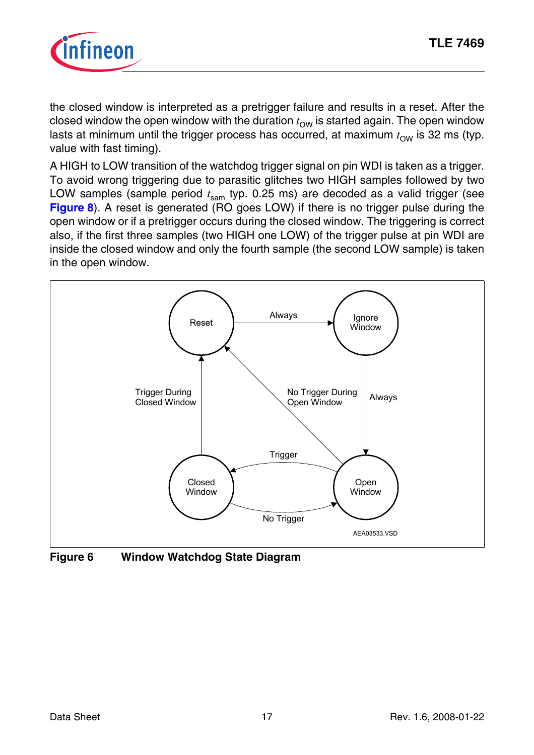

the closed window is interpreted as a pretrigger failure and results in a reset. After the closed window the open window with the duration  $t_{\text{OW}}$  is started again. The open window lasts at minimum until the trigger process has occurred, at maximum  $t_{\rm OW}$  is 32 ms (typ. value with fast timing).

A HIGH to LOW transition of the watchdog trigger signal on pin WDI is taken as a trigger. To avoid wrong triggering due to parasitic glitches two HIGH samples followed by two LOW samples (sample period  $t_{\text{sam}}$  typ. 0.25 ms) are decoded as a valid trigger (see **Figure 8**). A reset is generated (RO goes LOW) if there is no trigger pulse during the open window or if a pretrigger occurs during the closed window. The triggering is correct also, if the first three samples (two HIGH one LOW) of the trigger pulse at pin WDI are inside the closed window and only the fourth sample (the second LOW sample) is taken in the open window.



**Figure 6 Window Watchdog State Diagram**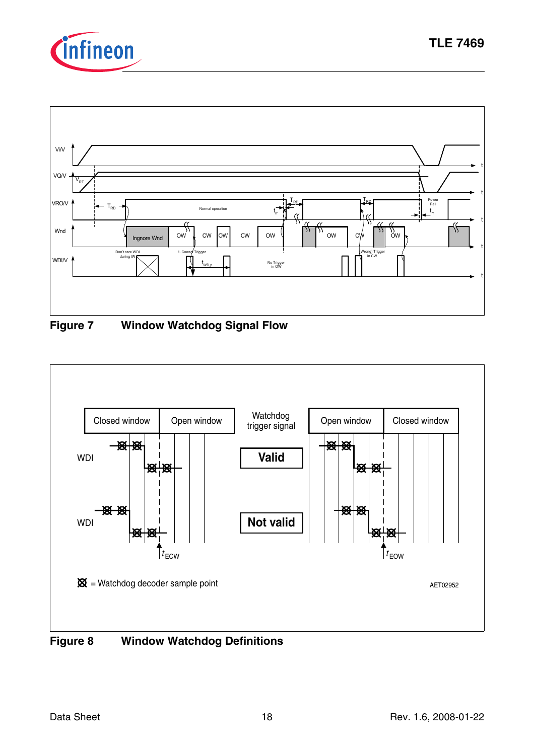



**TLE 7469**



**Figure 7 Window Watchdog Signal Flow**



**Figure 8 Window Watchdog Definitions**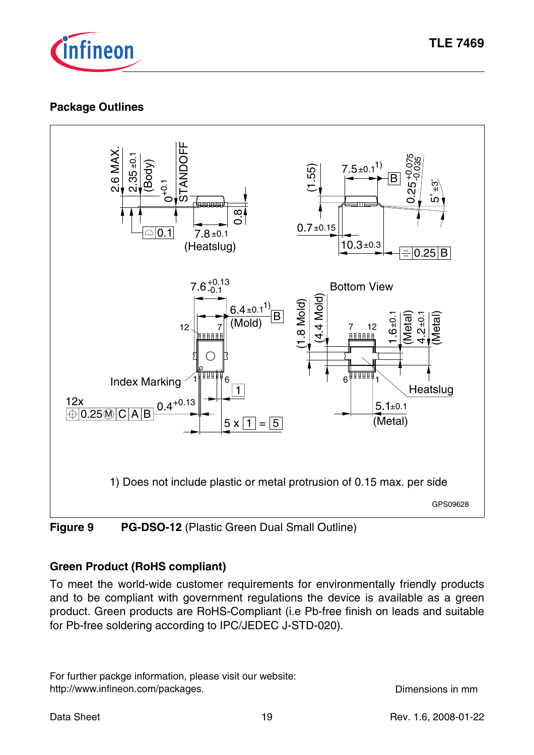

### **Package Outlines**



### **Figure 9 PG-DSO-12 (Plastic Green Dual Small Outline)**

### **Green Product (RoHS compliant)**

To meet the world-wide customer requirements for environmentally friendly products and to be compliant with government regulations the device is available as a green product. Green products are RoHS-Compliant (i.e Pb-free finish on leads and suitable for Pb-free soldering according to IPC/JEDEC J-STD-020).

For further packge information, please visit our website: http://www.infineon.com/packages. example the community of the Dimensions in mm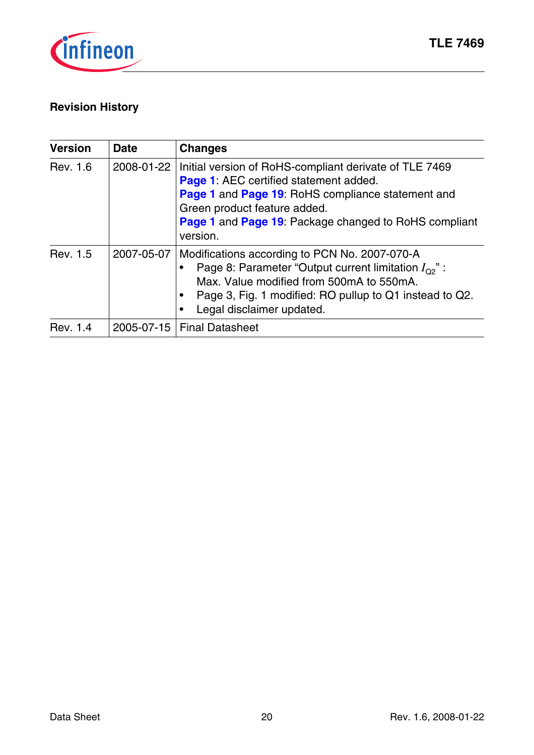

# **Revision History**

| <b>Version</b> | <b>Date</b> | <b>Changes</b>                                                                                                                                                                                                                                             |
|----------------|-------------|------------------------------------------------------------------------------------------------------------------------------------------------------------------------------------------------------------------------------------------------------------|
| Rev. 1.6       | 2008-01-22  | Initial version of RoHS-compliant derivate of TLE 7469<br>Page 1: AEC certified statement added.<br>Page 1 and Page 19: RoHS compliance statement and<br>Green product feature added.<br>Page 1 and Page 19: Package changed to RoHS compliant<br>version. |
| Rev. 1.5       | 2007-05-07  | Modifications according to PCN No. 2007-070-A<br>Page 8: Parameter "Output current limitation $I_{\Omega}$ ":<br>Max. Value modified from 500mA to 550mA.<br>Page 3, Fig. 1 modified: RO pullup to Q1 instead to Q2.<br>Legal disclaimer updated.          |
| Rev. 1.4       |             | 2005-07-15   Final Datasheet                                                                                                                                                                                                                               |